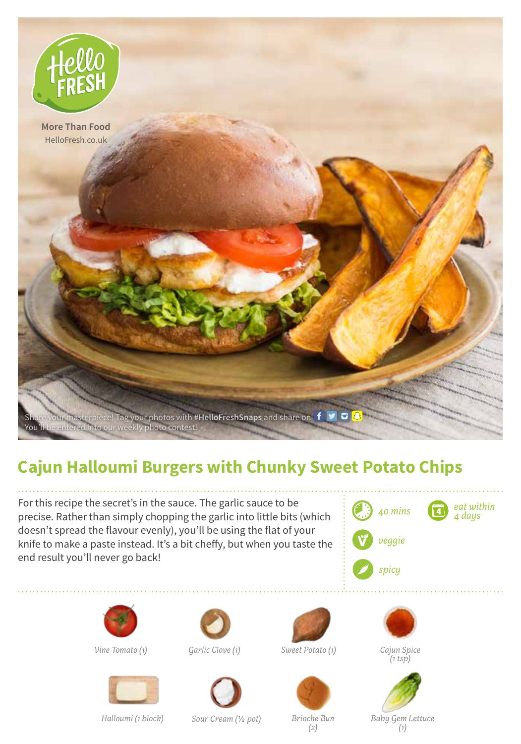

## **Cajun Halloumi Burgers with Chunky Sweet Potato Chips**

For this recipe the secret's in the sauce. The garlic sauce to be precise. Rather than simply chopping the garlic into little bits (which doesn't spread the flavour evenly), you'll be using the flat of your knife to make a paste instead. It's a bit cheffy, but when you taste the end result you'll never go back!





*Vine Tomato (1) Garlic Clove (1) Sweet Potato (1) Cajun Spice*







*(1 tsp)*

*Halloumi (1 block) Sour Cream (1/2 pot) Brioche Bun*

*(2)*

*Baby Gem Lettuce (1)*